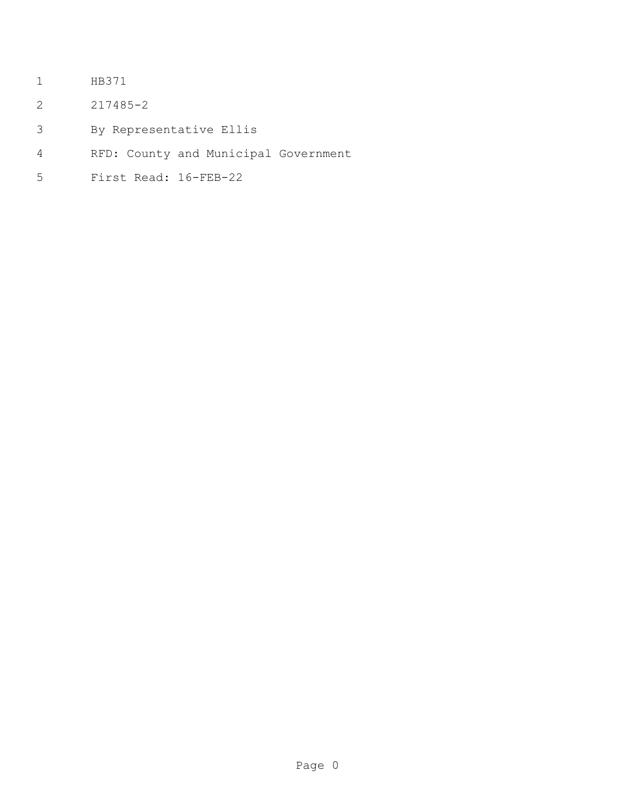- HB371
- 217485-2
- By Representative Ellis
- RFD: County and Municipal Government
- First Read: 16-FEB-22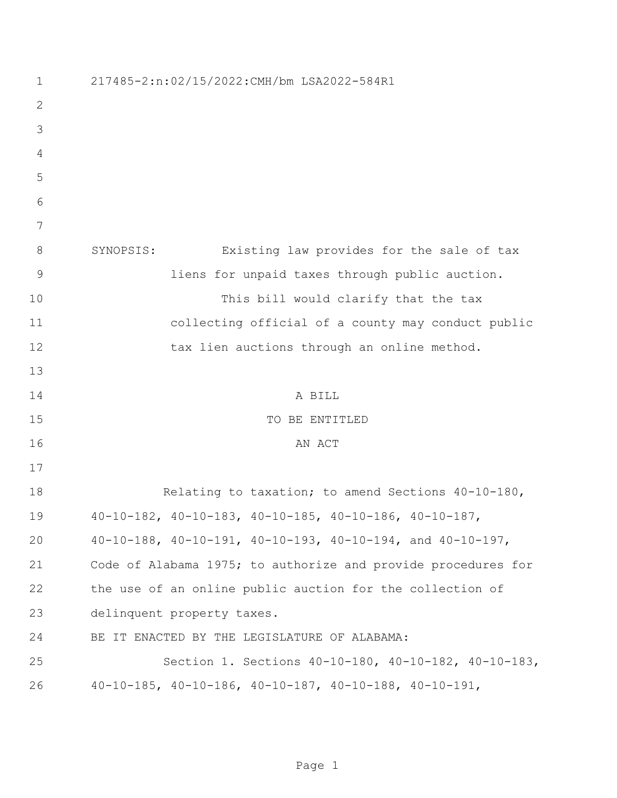| $\mathbf 1$   | 217485-2:n:02/15/2022:CMH/bm LSA2022-584R1                            |
|---------------|-----------------------------------------------------------------------|
| 2             |                                                                       |
| 3             |                                                                       |
| 4             |                                                                       |
| 5             |                                                                       |
| 6             |                                                                       |
| 7             |                                                                       |
| 8             | Existing law provides for the sale of tax<br>SYNOPSIS:                |
| $\mathcal{G}$ | liens for unpaid taxes through public auction.                        |
| 10            | This bill would clarify that the tax                                  |
| 11            | collecting official of a county may conduct public                    |
| 12            | tax lien auctions through an online method.                           |
| 13            |                                                                       |
| 14            | A BILL                                                                |
| 15            | TO BE ENTITLED                                                        |
| 16            | AN ACT                                                                |
| 17            |                                                                       |
| 18            | Relating to taxation; to amend Sections 40-10-180,                    |
| 19            | $40-10-182$ , $40-10-183$ , $40-10-185$ , $40-10-186$ , $40-10-187$ , |
| 20            | 40-10-188, 40-10-191, 40-10-193, 40-10-194, and 40-10-197,            |
| 21            | Code of Alabama 1975; to authorize and provide procedures for         |
| 22            | the use of an online public auction for the collection of             |
| 23            | delinquent property taxes.                                            |
| 24            | BE IT ENACTED BY THE LEGISLATURE OF ALABAMA:                          |
| 25            | Section 1. Sections 40-10-180, 40-10-182, 40-10-183,                  |
| 26            | $40-10-185$ , $40-10-186$ , $40-10-187$ , $40-10-188$ , $40-10-191$ , |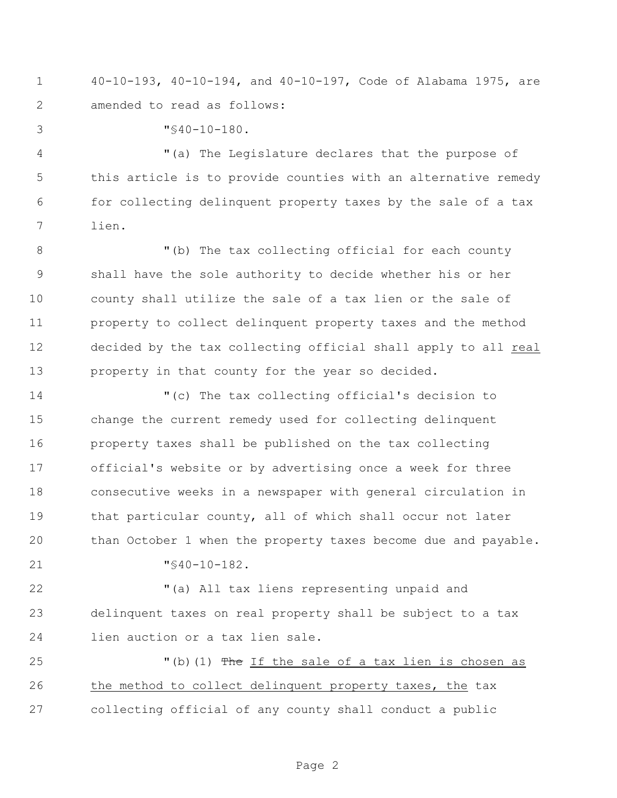40-10-193, 40-10-194, and 40-10-197, Code of Alabama 1975, are amended to read as follows:

"§40-10-180.

 "(a) The Legislature declares that the purpose of this article is to provide counties with an alternative remedy for collecting delinquent property taxes by the sale of a tax lien.

8 "(b) The tax collecting official for each county shall have the sole authority to decide whether his or her county shall utilize the sale of a tax lien or the sale of property to collect delinquent property taxes and the method decided by the tax collecting official shall apply to all real property in that county for the year so decided.

 "(c) The tax collecting official's decision to change the current remedy used for collecting delinquent property taxes shall be published on the tax collecting official's website or by advertising once a week for three consecutive weeks in a newspaper with general circulation in that particular county, all of which shall occur not later than October 1 when the property taxes become due and payable.

"§40-10-182.

 "(a) All tax liens representing unpaid and delinquent taxes on real property shall be subject to a tax lien auction or a tax lien sale.

25 "(b)(1) The If the sale of a tax lien is chosen as the method to collect delinquent property taxes, the tax collecting official of any county shall conduct a public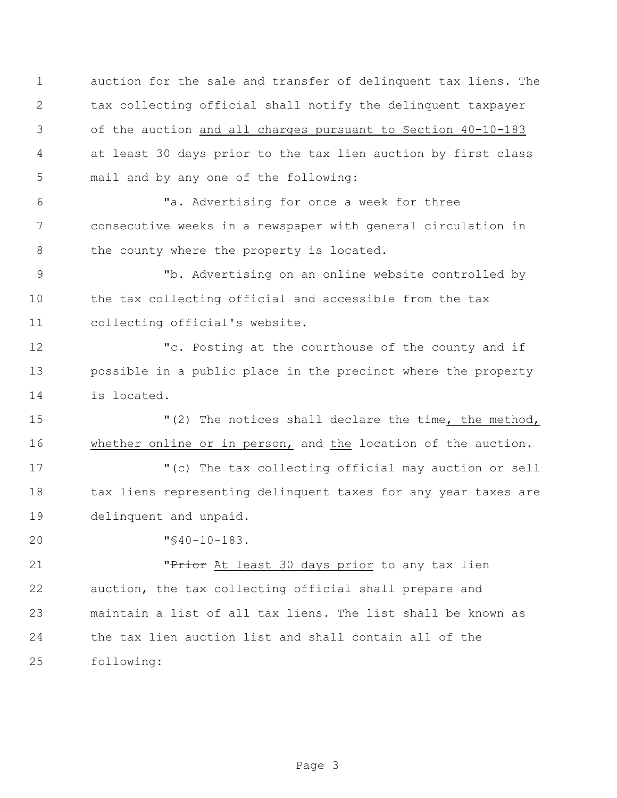auction for the sale and transfer of delinquent tax liens. The tax collecting official shall notify the delinquent taxpayer of the auction and all charges pursuant to Section 40-10-183 at least 30 days prior to the tax lien auction by first class mail and by any one of the following:

 "a. Advertising for once a week for three consecutive weeks in a newspaper with general circulation in 8 the county where the property is located.

 "b. Advertising on an online website controlled by the tax collecting official and accessible from the tax collecting official's website.

 "c. Posting at the courthouse of the county and if possible in a public place in the precinct where the property is located.

15 The notices shall declare the time, the method, whether online or in person, and the location of the auction.

 "(c) The tax collecting official may auction or sell 18 tax liens representing delinquent taxes for any year taxes are delinquent and unpaid.

"§40-10-183.

**"Prior** At least 30 days prior to any tax lien auction, the tax collecting official shall prepare and maintain a list of all tax liens. The list shall be known as the tax lien auction list and shall contain all of the following: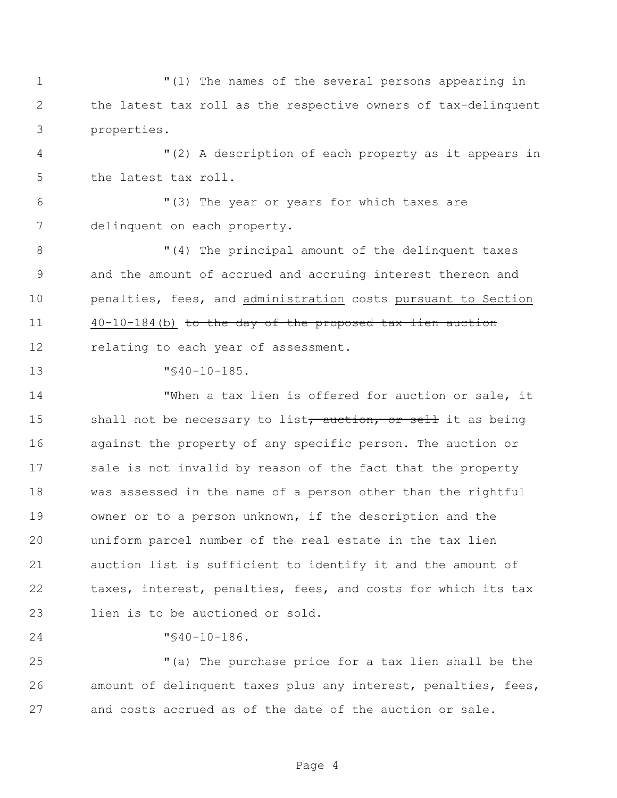"(1) The names of the several persons appearing in the latest tax roll as the respective owners of tax-delinquent properties.

 "(2) A description of each property as it appears in the latest tax roll.

 "(3) The year or years for which taxes are delinquent on each property.

8 T(4) The principal amount of the delinquent taxes and the amount of accrued and accruing interest thereon and penalties, fees, and administration costs pursuant to Section 40-10-184(b) to the day of the proposed tax lien auction 12 relating to each year of assessment.

"§40-10-185.

 "When a tax lien is offered for auction or sale, it 15 shall not be necessary to list, auction, or sell it as being against the property of any specific person. The auction or sale is not invalid by reason of the fact that the property was assessed in the name of a person other than the rightful owner or to a person unknown, if the description and the uniform parcel number of the real estate in the tax lien auction list is sufficient to identify it and the amount of taxes, interest, penalties, fees, and costs for which its tax lien is to be auctioned or sold.

"§40-10-186.

 "(a) The purchase price for a tax lien shall be the amount of delinquent taxes plus any interest, penalties, fees, and costs accrued as of the date of the auction or sale.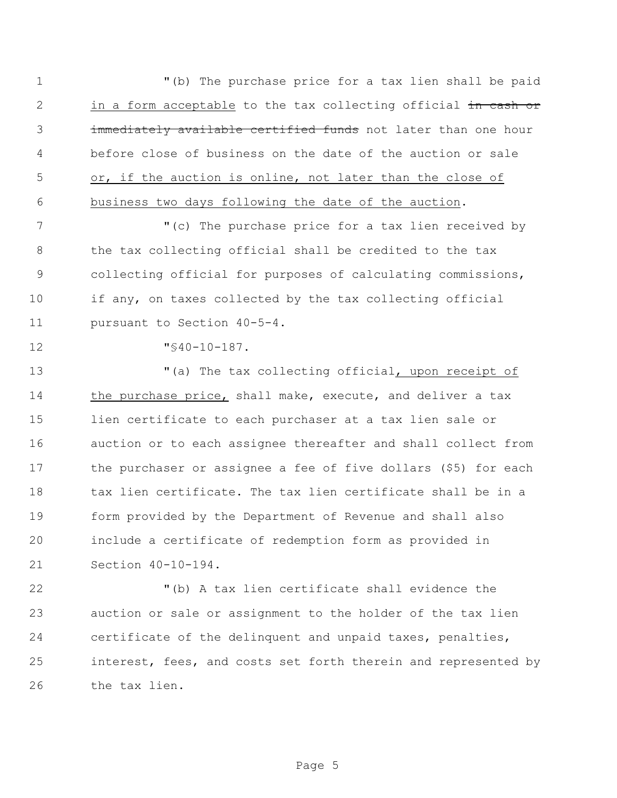"(b) The purchase price for a tax lien shall be paid 2 in a form acceptable to the tax collecting official in cash or 3 immediately available certified funds not later than one hour before close of business on the date of the auction or sale or, if the auction is online, not later than the close of business two days following the date of the auction.

 "(c) The purchase price for a tax lien received by the tax collecting official shall be credited to the tax collecting official for purposes of calculating commissions, if any, on taxes collected by the tax collecting official pursuant to Section 40-5-4.

"§40-10-187.

 "(a) The tax collecting official, upon receipt of 14 the purchase price, shall make, execute, and deliver a tax lien certificate to each purchaser at a tax lien sale or auction or to each assignee thereafter and shall collect from the purchaser or assignee a fee of five dollars (\$5) for each tax lien certificate. The tax lien certificate shall be in a form provided by the Department of Revenue and shall also include a certificate of redemption form as provided in Section 40-10-194.

 "(b) A tax lien certificate shall evidence the auction or sale or assignment to the holder of the tax lien certificate of the delinquent and unpaid taxes, penalties, interest, fees, and costs set forth therein and represented by the tax lien.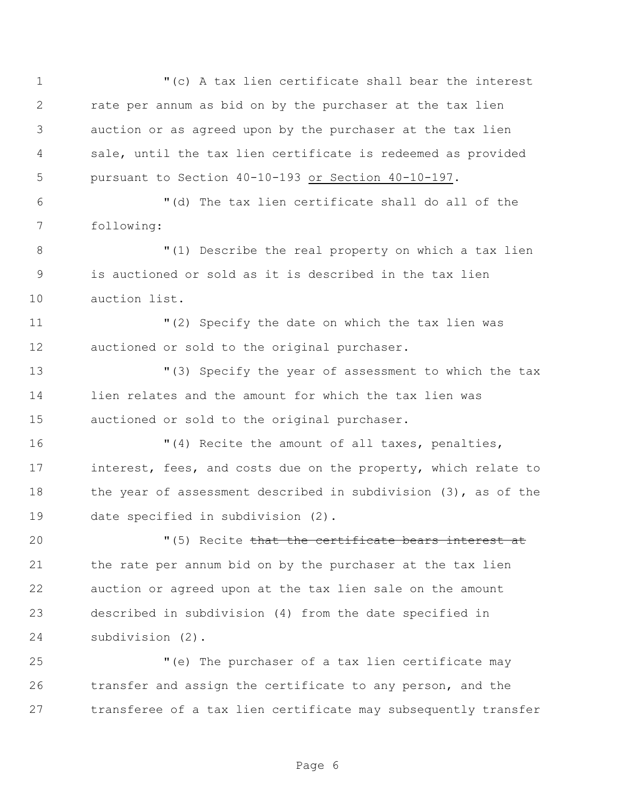"(c) A tax lien certificate shall bear the interest rate per annum as bid on by the purchaser at the tax lien auction or as agreed upon by the purchaser at the tax lien sale, until the tax lien certificate is redeemed as provided pursuant to Section 40-10-193 or Section 40-10-197. "(d) The tax lien certificate shall do all of the following: "(1) Describe the real property on which a tax lien is auctioned or sold as it is described in the tax lien auction list. "(2) Specify the date on which the tax lien was auctioned or sold to the original purchaser. "(3) Specify the year of assessment to which the tax lien relates and the amount for which the tax lien was auctioned or sold to the original purchaser. "(4) Recite the amount of all taxes, penalties, interest, fees, and costs due on the property, which relate to 18 the year of assessment described in subdivision (3), as of the date specified in subdivision (2).  $(5)$  Recite that the certificate bears interest at the rate per annum bid on by the purchaser at the tax lien auction or agreed upon at the tax lien sale on the amount described in subdivision (4) from the date specified in subdivision (2). "(e) The purchaser of a tax lien certificate may transfer and assign the certificate to any person, and the transferee of a tax lien certificate may subsequently transfer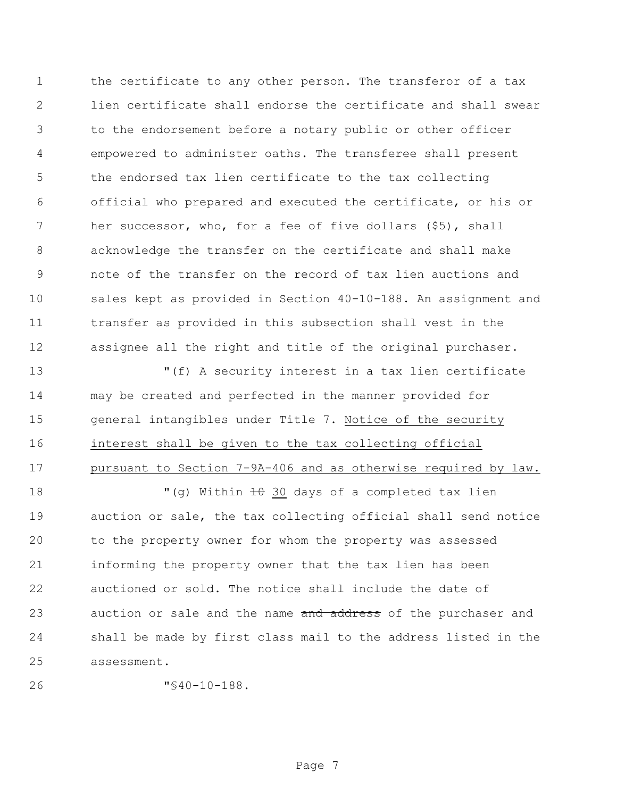1 the certificate to any other person. The transferor of a tax lien certificate shall endorse the certificate and shall swear to the endorsement before a notary public or other officer empowered to administer oaths. The transferee shall present the endorsed tax lien certificate to the tax collecting official who prepared and executed the certificate, or his or her successor, who, for a fee of five dollars (\$5), shall acknowledge the transfer on the certificate and shall make note of the transfer on the record of tax lien auctions and sales kept as provided in Section 40-10-188. An assignment and transfer as provided in this subsection shall vest in the assignee all the right and title of the original purchaser.

 "(f) A security interest in a tax lien certificate may be created and perfected in the manner provided for general intangibles under Title 7. Notice of the security interest shall be given to the tax collecting official pursuant to Section 7-9A-406 and as otherwise required by law.

 $\blacksquare$  (g) Within  $\pm 0$  30 days of a completed tax lien auction or sale, the tax collecting official shall send notice to the property owner for whom the property was assessed informing the property owner that the tax lien has been auctioned or sold. The notice shall include the date of 23 auction or sale and the name and address of the purchaser and shall be made by first class mail to the address listed in the assessment.

```
26 "§40-10-188.
```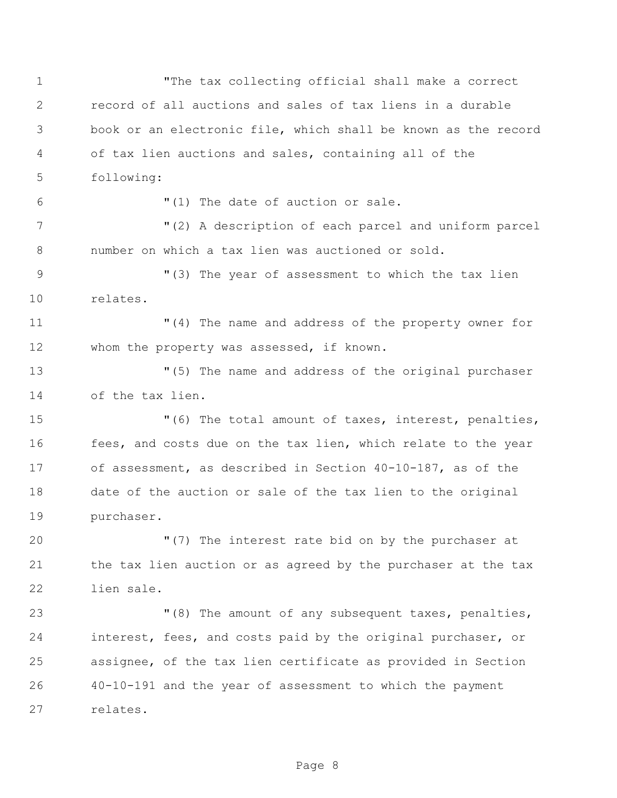"The tax collecting official shall make a correct record of all auctions and sales of tax liens in a durable book or an electronic file, which shall be known as the record of tax lien auctions and sales, containing all of the following: "(1) The date of auction or sale. "(2) A description of each parcel and uniform parcel number on which a tax lien was auctioned or sold. "(3) The year of assessment to which the tax lien relates. "(4) The name and address of the property owner for whom the property was assessed, if known. "(5) The name and address of the original purchaser of the tax lien. "(6) The total amount of taxes, interest, penalties, fees, and costs due on the tax lien, which relate to the year of assessment, as described in Section 40-10-187, as of the date of the auction or sale of the tax lien to the original purchaser. "(7) The interest rate bid on by the purchaser at the tax lien auction or as agreed by the purchaser at the tax lien sale. "(8) The amount of any subsequent taxes, penalties, interest, fees, and costs paid by the original purchaser, or assignee, of the tax lien certificate as provided in Section 40-10-191 and the year of assessment to which the payment relates.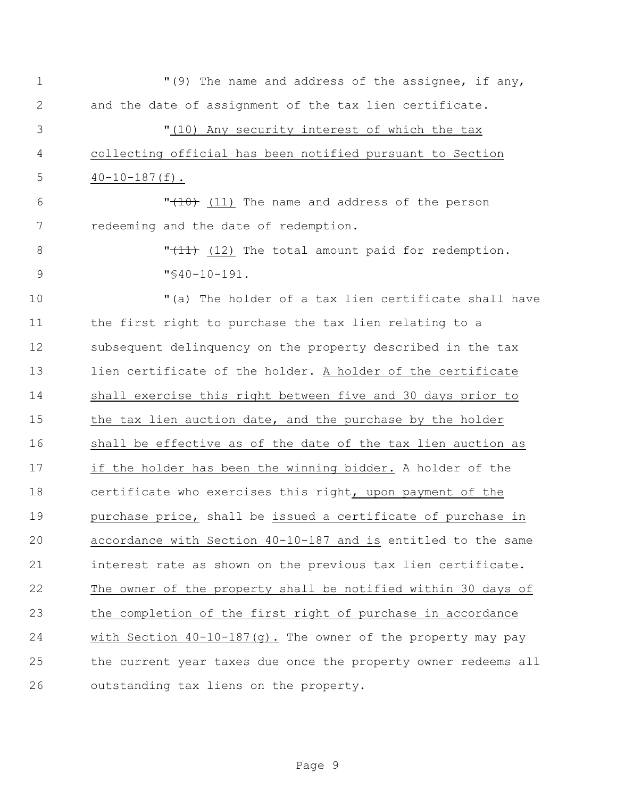| $\mathbf 1$ | "(9) The name and address of the assignee, if any,              |
|-------------|-----------------------------------------------------------------|
| 2           | and the date of assignment of the tax lien certificate.         |
| 3           | "(10) Any security interest of which the tax                    |
| 4           | collecting official has been notified pursuant to Section       |
| 5           | $40-10-187(f)$ .                                                |
| 6           | $"$ (10) (11) The name and address of the person                |
| 7           | redeeming and the date of redemption.                           |
| 8           | " $(11)$ (12) The total amount paid for redemption.             |
| $\mathsf 9$ | $"$ \$40-10-191.                                                |
| 10          | "(a) The holder of a tax lien certificate shall have            |
| 11          | the first right to purchase the tax lien relating to a          |
| 12          | subsequent delinquency on the property described in the tax     |
| 13          | lien certificate of the holder. A holder of the certificate     |
| 14          | shall exercise this right between five and 30 days prior to     |
| 15          | the tax lien auction date, and the purchase by the holder       |
| 16          | shall be effective as of the date of the tax lien auction as    |
| 17          | if the holder has been the winning bidder. A holder of the      |
| 18          | certificate who exercises this right, upon payment of the       |
| 19          | purchase price, shall be issued a certificate of purchase in    |
| 20          | accordance with Section 40-10-187 and is entitled to the same   |
| 21          | interest rate as shown on the previous tax lien certificate.    |
| 22          | The owner of the property shall be notified within 30 days of   |
| 23          | the completion of the first right of purchase in accordance     |
| 24          | with Section $40-10-187(g)$ . The owner of the property may pay |
| 25          | the current year taxes due once the property owner redeems all  |
| 26          | outstanding tax liens on the property.                          |

Page 9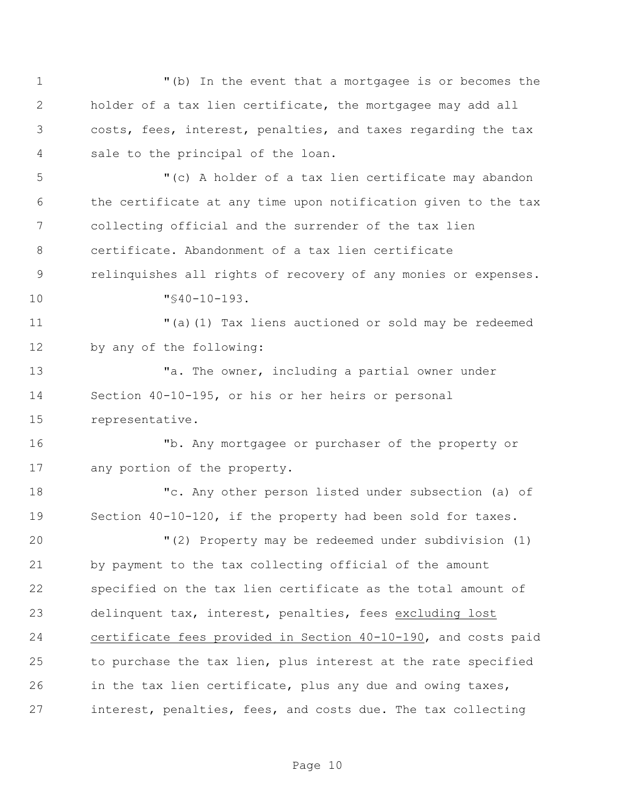"(b) In the event that a mortgagee is or becomes the holder of a tax lien certificate, the mortgagee may add all costs, fees, interest, penalties, and taxes regarding the tax sale to the principal of the loan. "(c) A holder of a tax lien certificate may abandon the certificate at any time upon notification given to the tax collecting official and the surrender of the tax lien certificate. Abandonment of a tax lien certificate relinquishes all rights of recovery of any monies or expenses. "§40-10-193. "(a)(1) Tax liens auctioned or sold may be redeemed by any of the following: 13 The owner, including a partial owner under Section 40-10-195, or his or her heirs or personal representative. "b. Any mortgagee or purchaser of the property or any portion of the property. "c. Any other person listed under subsection (a) of Section 40-10-120, if the property had been sold for taxes. "(2) Property may be redeemed under subdivision (1) by payment to the tax collecting official of the amount specified on the tax lien certificate as the total amount of delinquent tax, interest, penalties, fees excluding lost certificate fees provided in Section 40-10-190, and costs paid to purchase the tax lien, plus interest at the rate specified in the tax lien certificate, plus any due and owing taxes, interest, penalties, fees, and costs due. The tax collecting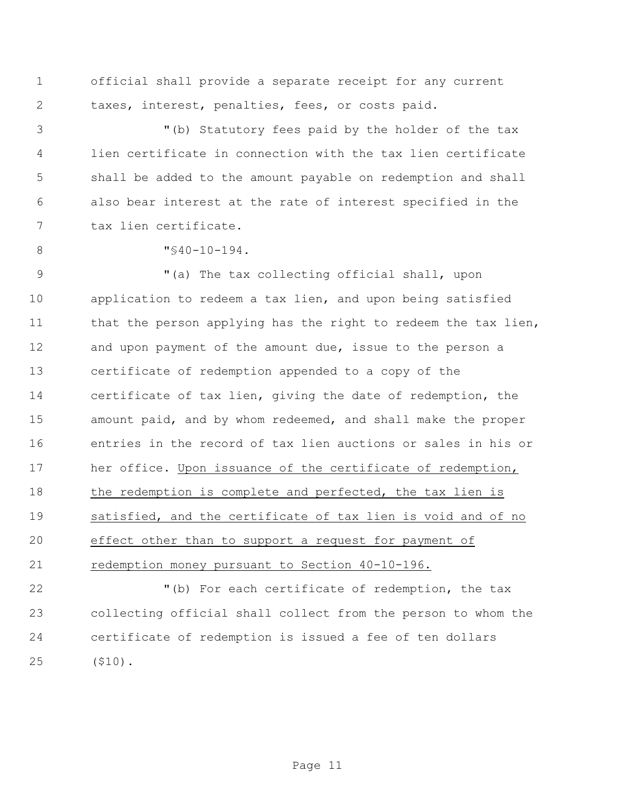official shall provide a separate receipt for any current taxes, interest, penalties, fees, or costs paid.

 "(b) Statutory fees paid by the holder of the tax lien certificate in connection with the tax lien certificate shall be added to the amount payable on redemption and shall also bear interest at the rate of interest specified in the tax lien certificate.

"§40-10-194.

 "(a) The tax collecting official shall, upon application to redeem a tax lien, and upon being satisfied 11 that the person applying has the right to redeem the tax lien, and upon payment of the amount due, issue to the person a certificate of redemption appended to a copy of the certificate of tax lien, giving the date of redemption, the amount paid, and by whom redeemed, and shall make the proper entries in the record of tax lien auctions or sales in his or her office. Upon issuance of the certificate of redemption, 18 the redemption is complete and perfected, the tax lien is satisfied, and the certificate of tax lien is void and of no effect other than to support a request for payment of redemption money pursuant to Section 40-10-196.

 "(b) For each certificate of redemption, the tax collecting official shall collect from the person to whom the certificate of redemption is issued a fee of ten dollars (\$10).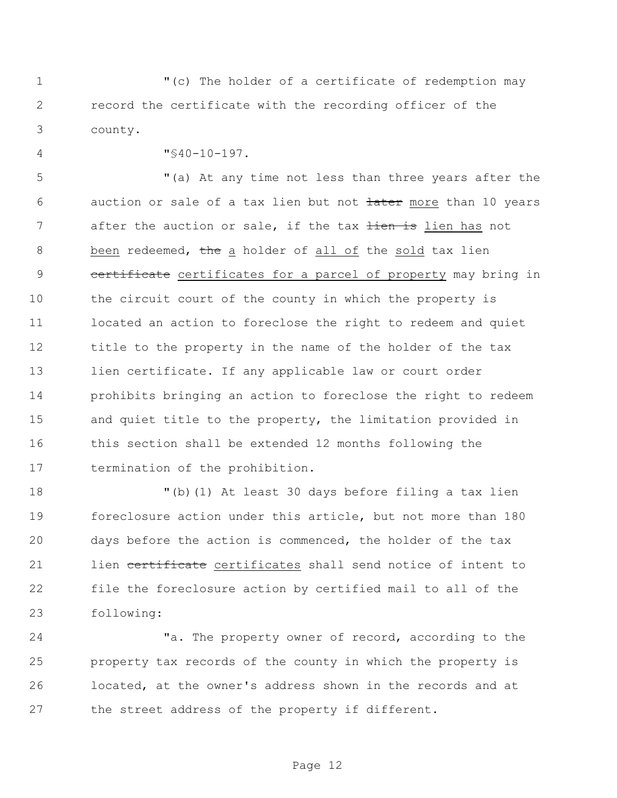"(c) The holder of a certificate of redemption may record the certificate with the recording officer of the county.

"§40-10-197.

 "(a) At any time not less than three years after the 6 auction or sale of a tax lien but not tater more than 10 years 7 after the auction or sale, if the tax tien is lien has not 8 been redeemed, the a holder of all of the sold tax lien 9 certificate certificates for a parcel of property may bring in the circuit court of the county in which the property is located an action to foreclose the right to redeem and quiet title to the property in the name of the holder of the tax 13 lien certificate. If any applicable law or court order prohibits bringing an action to foreclose the right to redeem and quiet title to the property, the limitation provided in this section shall be extended 12 months following the termination of the prohibition.

 "(b)(1) At least 30 days before filing a tax lien foreclosure action under this article, but not more than 180 days before the action is commenced, the holder of the tax 21 lien certificate certificates shall send notice of intent to file the foreclosure action by certified mail to all of the following:

24 The property owner of record, according to the property tax records of the county in which the property is located, at the owner's address shown in the records and at 27 the street address of the property if different.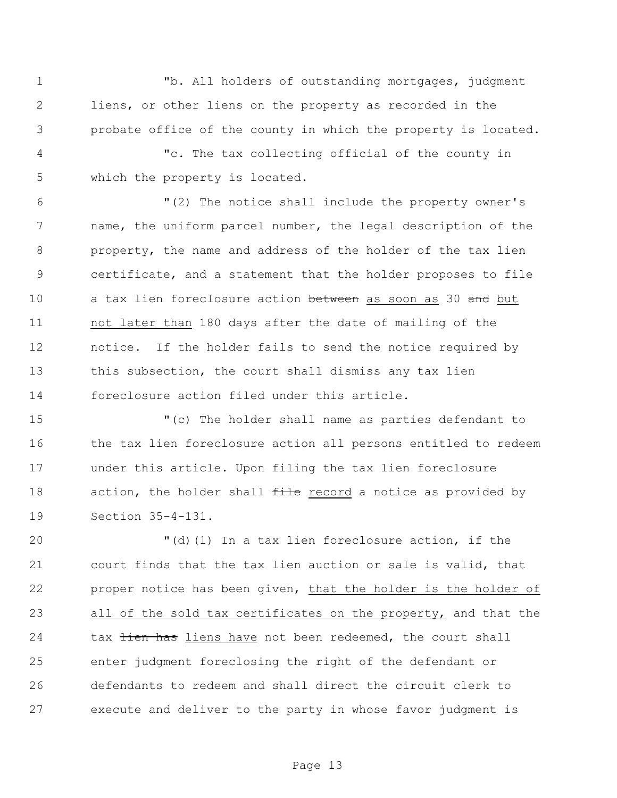"b. All holders of outstanding mortgages, judgment liens, or other liens on the property as recorded in the probate office of the county in which the property is located.

 "c. The tax collecting official of the county in which the property is located.

 "(2) The notice shall include the property owner's name, the uniform parcel number, the legal description of the property, the name and address of the holder of the tax lien certificate, and a statement that the holder proposes to file 10 a tax lien foreclosure action between as soon as 30 and but not later than 180 days after the date of mailing of the notice. If the holder fails to send the notice required by 13 this subsection, the court shall dismiss any tax lien foreclosure action filed under this article.

 "(c) The holder shall name as parties defendant to 16 the tax lien foreclosure action all persons entitled to redeem under this article. Upon filing the tax lien foreclosure 18 action, the holder shall file record a notice as provided by Section 35-4-131.

 "(d)(1) In a tax lien foreclosure action, if the court finds that the tax lien auction or sale is valid, that proper notice has been given, that the holder is the holder of all of the sold tax certificates on the property, and that the 24 tax tien has liens have not been redeemed, the court shall enter judgment foreclosing the right of the defendant or defendants to redeem and shall direct the circuit clerk to execute and deliver to the party in whose favor judgment is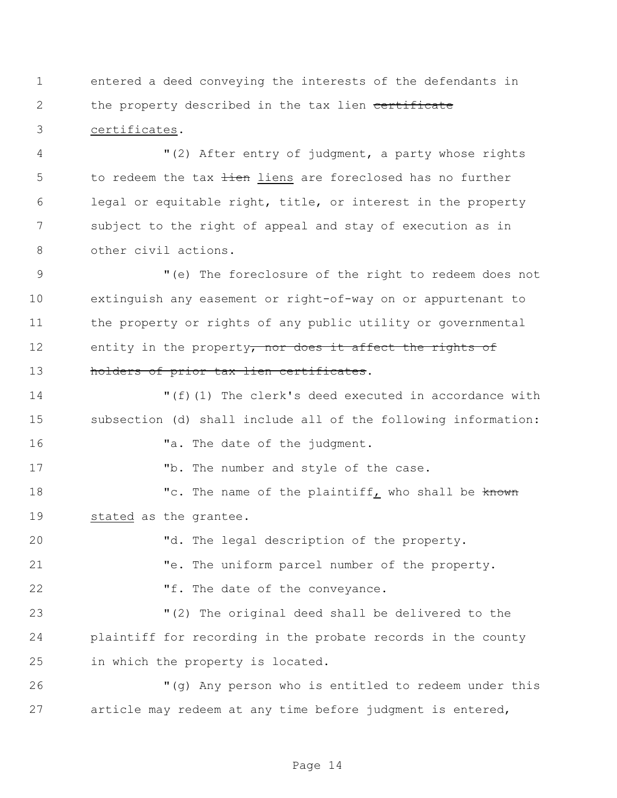entered a deed conveying the interests of the defendants in 2 the property described in the tax lien certificate certificates.

 "(2) After entry of judgment, a party whose rights 5 to redeem the tax tien liens are foreclosed has no further legal or equitable right, title, or interest in the property subject to the right of appeal and stay of execution as in other civil actions.

 "(e) The foreclosure of the right to redeem does not extinguish any easement or right-of-way on or appurtenant to the property or rights of any public utility or governmental 12 entity in the property, nor does it affect the rights of 13 holders of prior tax lien certificates.

 "(f)(1) The clerk's deed executed in accordance with subsection (d) shall include all of the following information: **"a.** The date of the judgment. 17 The number and style of the case. 18 The name of the plaintiff, who shall be known stated as the grantee. "d. The legal description of the property.

"e. The uniform parcel number of the property.

22 Tf. The date of the conveyance.

 "(2) The original deed shall be delivered to the plaintiff for recording in the probate records in the county in which the property is located.

 "(g) Any person who is entitled to redeem under this article may redeem at any time before judgment is entered,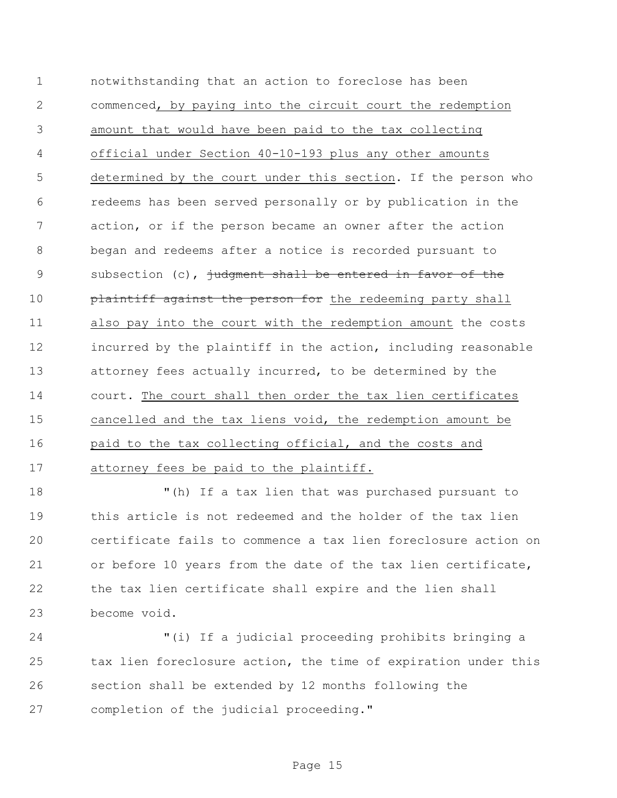notwithstanding that an action to foreclose has been commenced, by paying into the circuit court the redemption amount that would have been paid to the tax collecting official under Section 40-10-193 plus any other amounts determined by the court under this section. If the person who redeems has been served personally or by publication in the action, or if the person became an owner after the action began and redeems after a notice is recorded pursuant to 9 subsection (c), judgment shall be entered in favor of the **plaintiff against the person for** the redeeming party shall also pay into the court with the redemption amount the costs incurred by the plaintiff in the action, including reasonable attorney fees actually incurred, to be determined by the court. The court shall then order the tax lien certificates cancelled and the tax liens void, the redemption amount be paid to the tax collecting official, and the costs and attorney fees be paid to the plaintiff.

 "(h) If a tax lien that was purchased pursuant to this article is not redeemed and the holder of the tax lien certificate fails to commence a tax lien foreclosure action on or before 10 years from the date of the tax lien certificate, the tax lien certificate shall expire and the lien shall become void.

 "(i) If a judicial proceeding prohibits bringing a tax lien foreclosure action, the time of expiration under this section shall be extended by 12 months following the completion of the judicial proceeding."